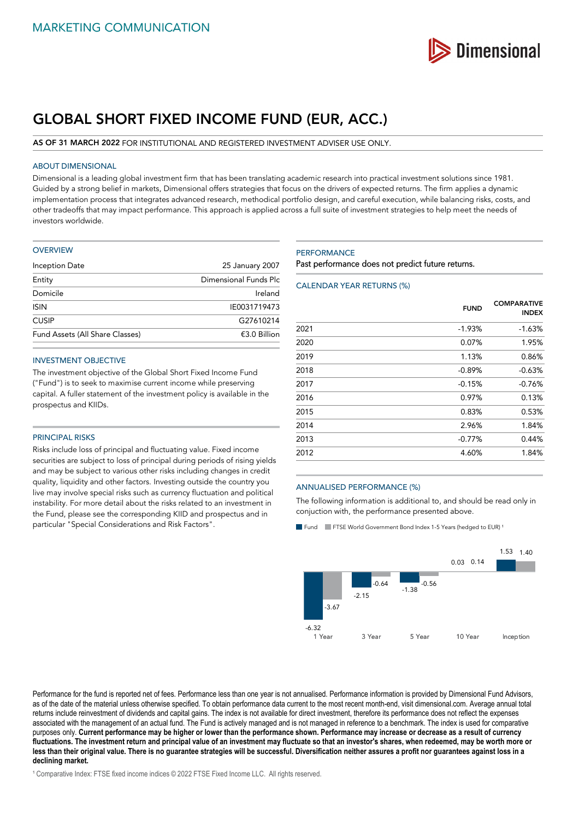

# **GLOBAL SHORT FIXED INCOME FUND (EUR, ACC.)**

## **AS OF 31 MARCH 2022** FOR INSTITUTIONAL AND REGISTERED INVESTMENT ADVISER USE ONLY.

## ABOUT DIMENSIONAL

Dimensional is a leading global investment firm that has been translating academic research into practical investment solutions since 1981. Guided by a strong belief in markets, Dimensional offers strategies that focus on the drivers of expected returns. The firm applies a dynamic implementation process that integrates advanced research, methodical portfolio design, and careful execution, while balancing risks, costs, and other tradeoffs that may impact performance. This approach is applied across a full suite of investment strategies to help meet the needs of investors worldwide.

#### **OVERVIEW**

| 25 January 2007       |
|-----------------------|
| Dimensional Funds Plc |
| Ireland               |
| IE0031719473          |
| G27610214             |
| $£3.0$ Billion        |
|                       |

## INVESTMENT OBJECTIVE

The investment objective of the Global Short Fixed Income Fund ("Fund") is to seek to maximise current income while preserving capital. A fuller statement of the investment policy is available in the prospectus and KIIDs.

## PRINCIPAL RISKS

Risks include loss of principal and fluctuating value. Fixed income securities are subject to loss of principal during periods of rising yields and may be subject to various other risks including changes in credit quality, liquidity and other factors. Investing outside the country you live may involve special risks such as currency fluctuation and political instability. For more detail about the risks related to an investment in the Fund, please see the corresponding KIID and prospectus and in particular "Special Considerations and Risk Factors".

## **PERFORMANCE**

Past performance does not predict future returns.

## CALENDAR YEAR RETURNS (%)

|      | <b>FUND</b> | <b>COMPARATIVE</b><br><b>INDEX</b> |
|------|-------------|------------------------------------|
| 2021 | $-1.93%$    | $-1.63%$                           |
| 2020 | 0.07%       | 1.95%                              |
| 2019 | 1.13%       | 0.86%                              |
| 2018 | $-0.89%$    | $-0.63%$                           |
| 2017 | $-0.15%$    | $-0.76%$                           |
| 2016 | 0.97%       | 0.13%                              |
| 2015 | 0.83%       | 0.53%                              |
| 2014 | 2.96%       | 1.84%                              |
| 2013 | $-0.77%$    | 0.44%                              |
| 2012 | 4.60%       | 1.84%                              |

## ANNUALISED PERFORMANCE (%)

The following information is additional to, and should be read only in conjuction with, the performance presented above.

Fund FTSE World Government Bond Index 1-5 Years (hedged to EUR)<sup>1</sup>



Performance for the fund is reported net of fees. Performance less than one year is not annualised. Performance information is provided by Dimensional Fund Advisors, as of the date of the material unless otherwise specified. To obtain performance data current to the most recent month-end, visit dimensional.com. Average annual total returns include reinvestment of dividends and capital gains. The index is not available for direct investment, therefore its performance does not reflect the expenses associated with the management of an actual fund. The Fund is actively managed and is not managed in reference to a benchmark. The index is used for comparative purposes only. **Current performance may be higher or lower than the performance shown. Performance may increase or decrease as a result of currency fluctuations. The investment return and principal value of an investment may fluctuate so that an investor's shares, when redeemed, may be worth more or less than their original value. There is no guarantee strategies will be successful. Diversification neither assures a profit nor guarantees against loss in a declining market.**

<sup>1</sup> Comparative Index: FTSE fixed income indices © 2022 FTSE Fixed Income LLC. All rights reserved.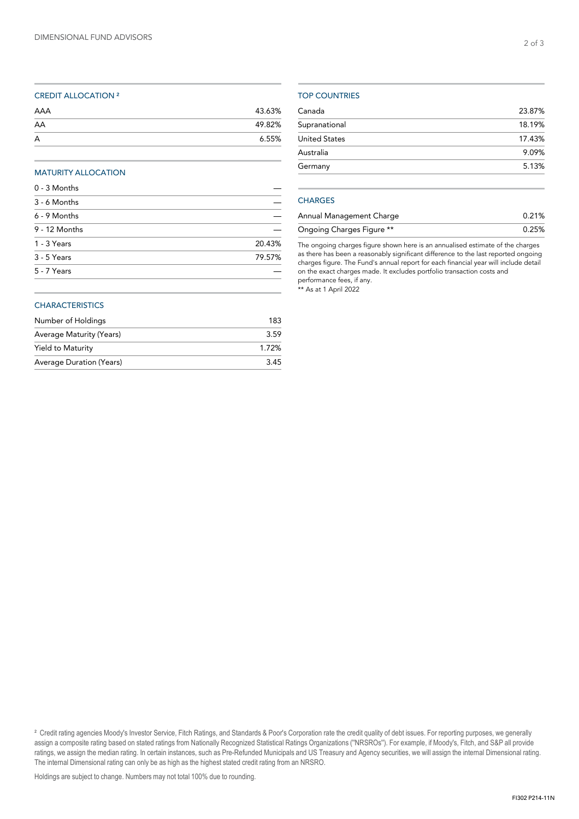## CREDIT ALLOCATION ²

| AAA | 43.63% |
|-----|--------|
| AA  | 49.82% |
| A   | 6.55%  |

## MATURITY ALLOCATION

| 0 - 3 Months  |        |
|---------------|--------|
| 3 - 6 Months  |        |
| 6 - 9 Months  |        |
| 9 - 12 Months |        |
| 1 - 3 Years   | 20.43% |
| 3 - 5 Years   | 79.57% |
| 5 - 7 Years   |        |
|               |        |

## **CHARACTERISTICS**

| Number of Holdings       | 183   |
|--------------------------|-------|
| Average Maturity (Years) | 3.59  |
| Yield to Maturity        | 1.72% |
| Average Duration (Years) | 3.45  |

## TOP COUNTRIES

| Canada               | 23.87% |
|----------------------|--------|
| Supranational        | 18.19% |
| <b>United States</b> | 17.43% |
| Australia            | 9.09%  |
| Germany              | 5.13%  |
|                      |        |

## **CHARGES**

| Annual Management Charge  | 0.21% |
|---------------------------|-------|
| Ongoing Charges Figure ** | 0.25% |

The ongoing charges figure shown here is an annualised estimate of the charges as there has been a reasonably significant difference to the last reported ongoing charges figure. The Fund's annual report for each financial year will include detail on the exact charges made. It excludes portfolio transaction costs and performance fees, if any.

\*\* As at 1 April 2022

<sup>&</sup>lt;sup>2</sup> Credit rating agencies Moody's Investor Service, Fitch Ratings, and Standards & Poor's Corporation rate the credit quality of debt issues. For reporting purposes, we generally assign a composite rating based on stated ratings from Nationally Recognized Statistical Ratings Organizations (''NRSROs''). For example, if Moody's, Fitch, and S&P all provide ratings, we assign the median rating. In certain instances, such as Pre-Refunded Municipals and US Treasury and Agency securities, we will assign the internal Dimensional rating. The internal Dimensional rating can only be as high as the highest stated credit rating from an NRSRO.